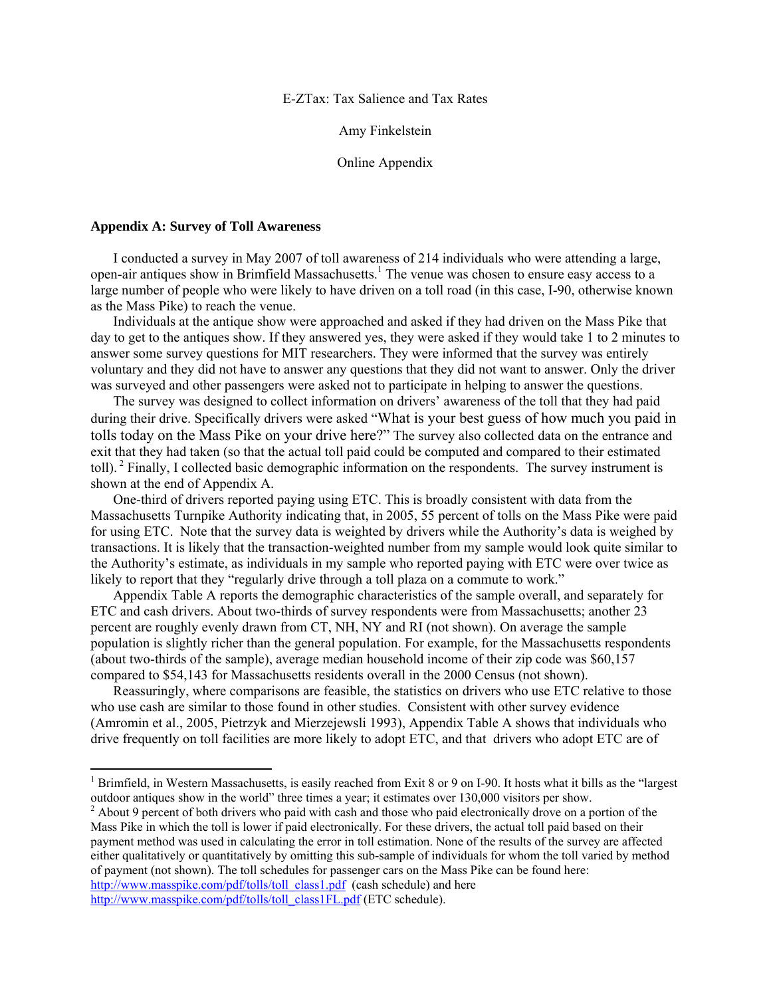#### E-ZTax: Tax Salience and Tax Rates

Amy Finkelstein

Online Appendix

#### **Appendix A: Survey of Toll Awareness**

 $\overline{a}$ 

I conducted a survey in May 2007 of toll awareness of 214 individuals who were attending a large, open-air antiques show in Brimfield Massachusetts.<sup>1</sup> The venue was chosen to ensure easy access to a large number of people who were likely to have driven on a toll road (in this case, I-90, otherwise known as the Mass Pike) to reach the venue.

Individuals at the antique show were approached and asked if they had driven on the Mass Pike that day to get to the antiques show. If they answered yes, they were asked if they would take 1 to 2 minutes to answer some survey questions for MIT researchers. They were informed that the survey was entirely voluntary and they did not have to answer any questions that they did not want to answer. Only the driver was surveyed and other passengers were asked not to participate in helping to answer the questions.

The survey was designed to collect information on drivers' awareness of the toll that they had paid during their drive. Specifically drivers were asked "What is your best guess of how much you paid in tolls today on the Mass Pike on your drive here?" The survey also collected data on the entrance and exit that they had taken (so that the actual toll paid could be computed and compared to their estimated toll). 2 Finally, I collected basic demographic information on the respondents. The survey instrument is shown at the end of Appendix A.

One-third of drivers reported paying using ETC. This is broadly consistent with data from the Massachusetts Turnpike Authority indicating that, in 2005, 55 percent of tolls on the Mass Pike were paid for using ETC. Note that the survey data is weighted by drivers while the Authority's data is weighed by transactions. It is likely that the transaction-weighted number from my sample would look quite similar to the Authority's estimate, as individuals in my sample who reported paying with ETC were over twice as likely to report that they "regularly drive through a toll plaza on a commute to work."

Appendix Table A reports the demographic characteristics of the sample overall, and separately for ETC and cash drivers. About two-thirds of survey respondents were from Massachusetts; another 23 percent are roughly evenly drawn from CT, NH, NY and RI (not shown). On average the sample population is slightly richer than the general population. For example, for the Massachusetts respondents (about two-thirds of the sample), average median household income of their zip code was \$60,157 compared to \$54,143 for Massachusetts residents overall in the 2000 Census (not shown).

Reassuringly, where comparisons are feasible, the statistics on drivers who use ETC relative to those who use cash are similar to those found in other studies. Consistent with other survey evidence (Amromin et al., 2005, Pietrzyk and Mierzejewsli 1993), Appendix Table A shows that individuals who drive frequently on toll facilities are more likely to adopt ETC, and that drivers who adopt ETC are of

 $^2$  About 9 percent of both drivers who paid with cash and those who paid electronically drove on a portion of the Mass Pike in which the toll is lower if paid electronically. For these drivers, the actual toll paid based on their payment method was used in calculating the error in toll estimation. None of the results of the survey are affected either qualitatively or quantitatively by omitting this sub-sample of individuals for whom the toll varied by method of payment (not shown). The toll schedules for passenger cars on the Mass Pike can be found here: http://www.masspike.com/pdf/tolls/toll\_class1.pdf (cash schedule) and here http://www.masspike.com/pdf/tolls/toll\_class1FL.pdf (ETC schedule).

<sup>&</sup>lt;sup>1</sup> Brimfield, in Western Massachusetts, is easily reached from Exit 8 or 9 on I-90. It hosts what it bills as the "largest outdoor antiques show in the world" three times a year; it estimates over 130,000 visitors per show.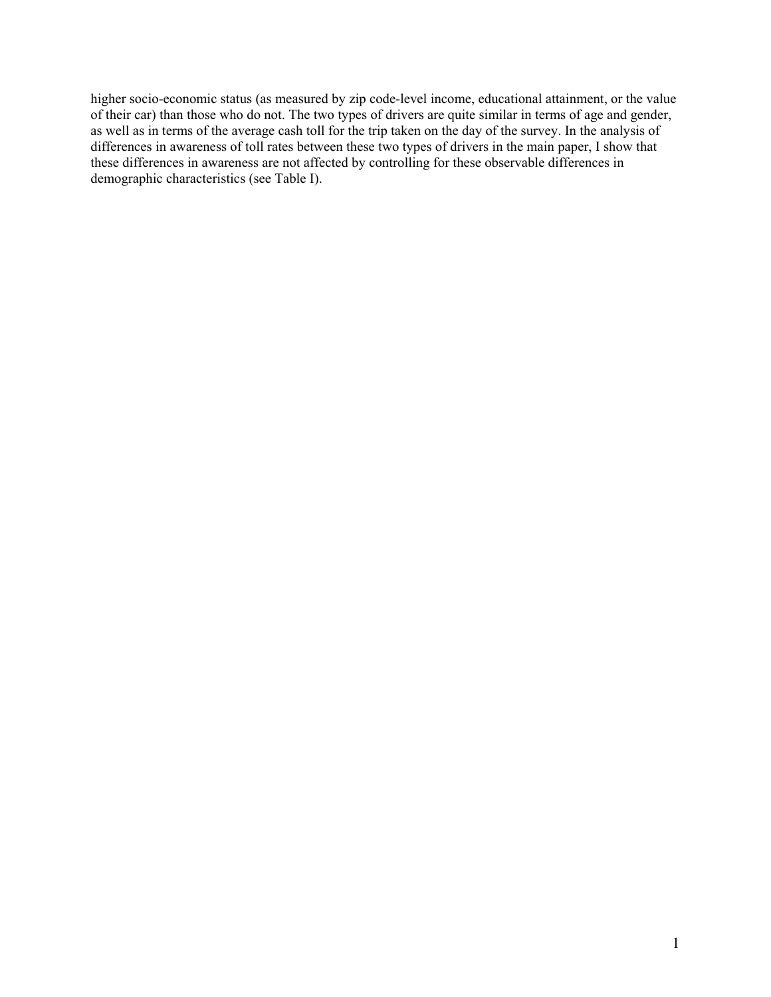higher socio-economic status (as measured by zip code-level income, educational attainment, or the value of their car) than those who do not. The two types of drivers are quite similar in terms of age and gender, as well as in terms of the average cash toll for the trip taken on the day of the survey. In the analysis of differences in awareness of toll rates between these two types of drivers in the main paper, I show that these differences in awareness are not affected by controlling for these observable differences in demographic characteristics (see Table I).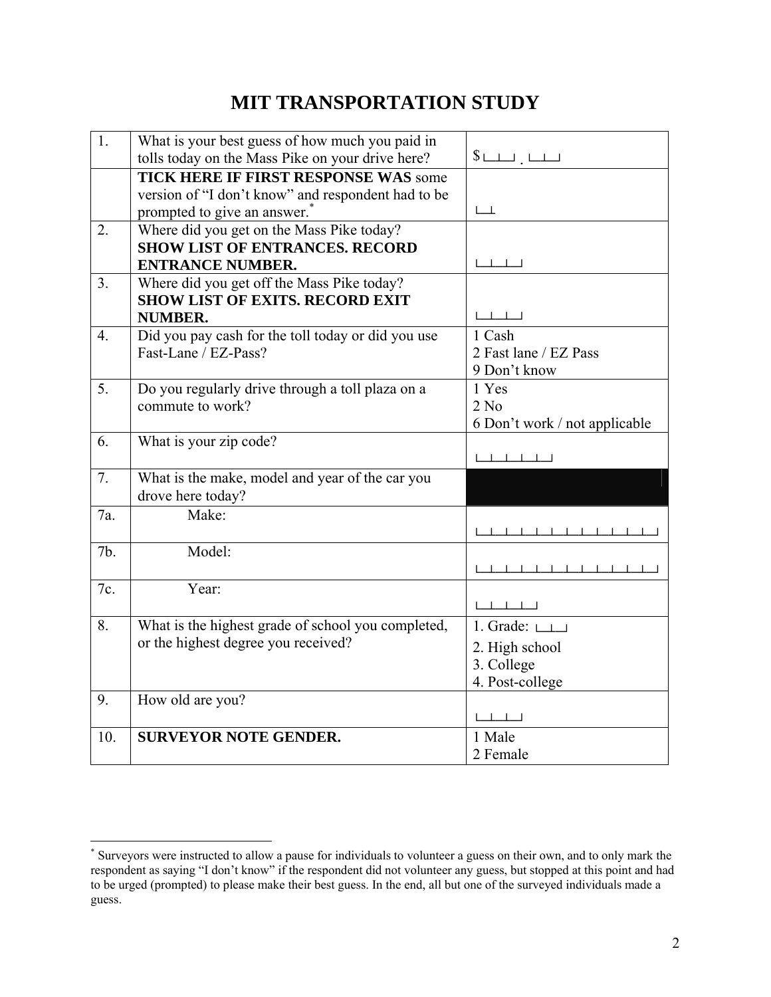# **MIT TRANSPORTATION STUDY**

| 1.               | What is your best guess of how much you paid in<br>tolls today on the Mass Pike on your drive here? |                                                                                                          |
|------------------|-----------------------------------------------------------------------------------------------------|----------------------------------------------------------------------------------------------------------|
|                  |                                                                                                     | $\overline{\ }$                                                                                          |
|                  | <b>TICK HERE IF FIRST RESPONSE WAS some</b>                                                         |                                                                                                          |
|                  | version of "I don't know" and respondent had to be                                                  | $L_{-}$                                                                                                  |
|                  | prompted to give an answer. <sup>*</sup>                                                            |                                                                                                          |
| 2.               | Where did you get on the Mass Pike today?                                                           |                                                                                                          |
|                  | <b>SHOW LIST OF ENTRANCES. RECORD</b>                                                               |                                                                                                          |
|                  | <b>ENTRANCE NUMBER.</b>                                                                             | $\Box$                                                                                                   |
| 3.               | Where did you get off the Mass Pike today?                                                          |                                                                                                          |
|                  | <b>SHOW LIST OF EXITS. RECORD EXIT</b>                                                              |                                                                                                          |
|                  | <b>NUMBER.</b>                                                                                      |                                                                                                          |
| $\overline{4}$ . | Did you pay cash for the toll today or did you use                                                  | 1 Cash                                                                                                   |
|                  | Fast-Lane / EZ-Pass?                                                                                | 2 Fast lane / EZ Pass                                                                                    |
|                  |                                                                                                     | 9 Don't know                                                                                             |
| 5 <sub>1</sub>   | Do you regularly drive through a toll plaza on a                                                    | 1 Yes                                                                                                    |
|                  | commute to work?                                                                                    | 2 No                                                                                                     |
|                  |                                                                                                     | 6 Don't work / not applicable                                                                            |
| 6.               | What is your zip code?                                                                              |                                                                                                          |
|                  |                                                                                                     |                                                                                                          |
| 7.               | What is the make, model and year of the car you                                                     |                                                                                                          |
|                  | drove here today?                                                                                   |                                                                                                          |
| 7a.              | Make:                                                                                               |                                                                                                          |
|                  |                                                                                                     | <u> 1 - 1 - 1 - 1 - 1 - 1 - 1 - 1 - 1 - 1</u>                                                            |
| 7b.              | Model:                                                                                              |                                                                                                          |
|                  |                                                                                                     |                                                                                                          |
| 7c.              | Year:                                                                                               |                                                                                                          |
|                  |                                                                                                     | $\begin{tabular}{ccccc} \textbf{L} & \textbf{L} & \textbf{L} & \textbf{L} & \textbf{L} \\ \end{tabular}$ |
| 8.               | What is the highest grade of school you completed,                                                  | 1. Grade: $L_{\perp}$                                                                                    |
|                  | or the highest degree you received?                                                                 | 2. High school                                                                                           |
|                  |                                                                                                     | 3. College                                                                                               |
|                  |                                                                                                     | 4. Post-college                                                                                          |
| 9.               | How old are you?                                                                                    |                                                                                                          |
|                  |                                                                                                     | $L = L = L = L$                                                                                          |
|                  | <b>SURVEYOR NOTE GENDER.</b>                                                                        | 1 Male                                                                                                   |
| 10.              |                                                                                                     |                                                                                                          |
|                  |                                                                                                     | 2 Female                                                                                                 |

 \* Surveyors were instructed to allow a pause for individuals to volunteer a guess on their own, and to only mark the respondent as saying "I don't know" if the respondent did not volunteer any guess, but stopped at this point and had to be urged (prompted) to please make their best guess. In the end, all but one of the surveyed individuals made a guess.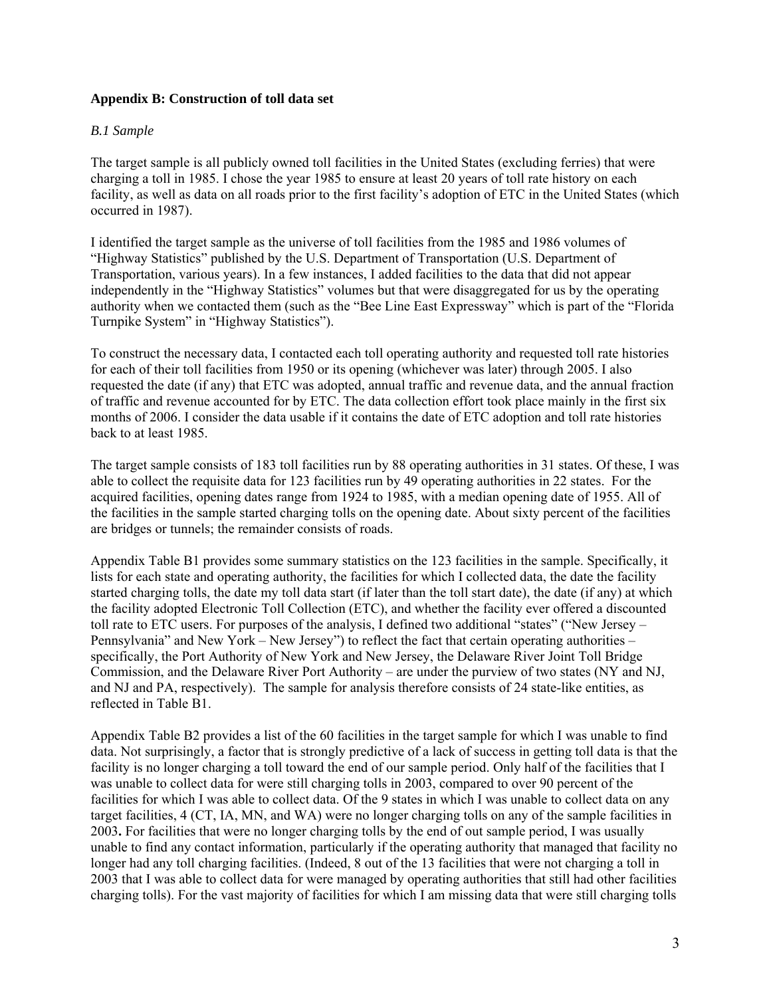## **Appendix B: Construction of toll data set**

#### *B.1 Sample*

The target sample is all publicly owned toll facilities in the United States (excluding ferries) that were charging a toll in 1985. I chose the year 1985 to ensure at least 20 years of toll rate history on each facility, as well as data on all roads prior to the first facility's adoption of ETC in the United States (which occurred in 1987).

I identified the target sample as the universe of toll facilities from the 1985 and 1986 volumes of "Highway Statistics" published by the U.S. Department of Transportation (U.S. Department of Transportation, various years). In a few instances, I added facilities to the data that did not appear independently in the "Highway Statistics" volumes but that were disaggregated for us by the operating authority when we contacted them (such as the "Bee Line East Expressway" which is part of the "Florida Turnpike System" in "Highway Statistics").

To construct the necessary data, I contacted each toll operating authority and requested toll rate histories for each of their toll facilities from 1950 or its opening (whichever was later) through 2005. I also requested the date (if any) that ETC was adopted, annual traffic and revenue data, and the annual fraction of traffic and revenue accounted for by ETC. The data collection effort took place mainly in the first six months of 2006. I consider the data usable if it contains the date of ETC adoption and toll rate histories back to at least 1985.

The target sample consists of 183 toll facilities run by 88 operating authorities in 31 states. Of these, I was able to collect the requisite data for 123 facilities run by 49 operating authorities in 22 states. For the acquired facilities, opening dates range from 1924 to 1985, with a median opening date of 1955. All of the facilities in the sample started charging tolls on the opening date. About sixty percent of the facilities are bridges or tunnels; the remainder consists of roads.

Appendix Table B1 provides some summary statistics on the 123 facilities in the sample. Specifically, it lists for each state and operating authority, the facilities for which I collected data, the date the facility started charging tolls, the date my toll data start (if later than the toll start date), the date (if any) at which the facility adopted Electronic Toll Collection (ETC), and whether the facility ever offered a discounted toll rate to ETC users. For purposes of the analysis, I defined two additional "states" ("New Jersey – Pennsylvania" and New York – New Jersey") to reflect the fact that certain operating authorities – specifically, the Port Authority of New York and New Jersey, the Delaware River Joint Toll Bridge Commission, and the Delaware River Port Authority – are under the purview of two states (NY and NJ, and NJ and PA, respectively). The sample for analysis therefore consists of 24 state-like entities, as reflected in Table B1.

Appendix Table B2 provides a list of the 60 facilities in the target sample for which I was unable to find data. Not surprisingly, a factor that is strongly predictive of a lack of success in getting toll data is that the facility is no longer charging a toll toward the end of our sample period. Only half of the facilities that I was unable to collect data for were still charging tolls in 2003, compared to over 90 percent of the facilities for which I was able to collect data. Of the 9 states in which I was unable to collect data on any target facilities, 4 (CT, IA, MN, and WA) were no longer charging tolls on any of the sample facilities in 2003**.** For facilities that were no longer charging tolls by the end of out sample period, I was usually unable to find any contact information, particularly if the operating authority that managed that facility no longer had any toll charging facilities. (Indeed, 8 out of the 13 facilities that were not charging a toll in 2003 that I was able to collect data for were managed by operating authorities that still had other facilities charging tolls). For the vast majority of facilities for which I am missing data that were still charging tolls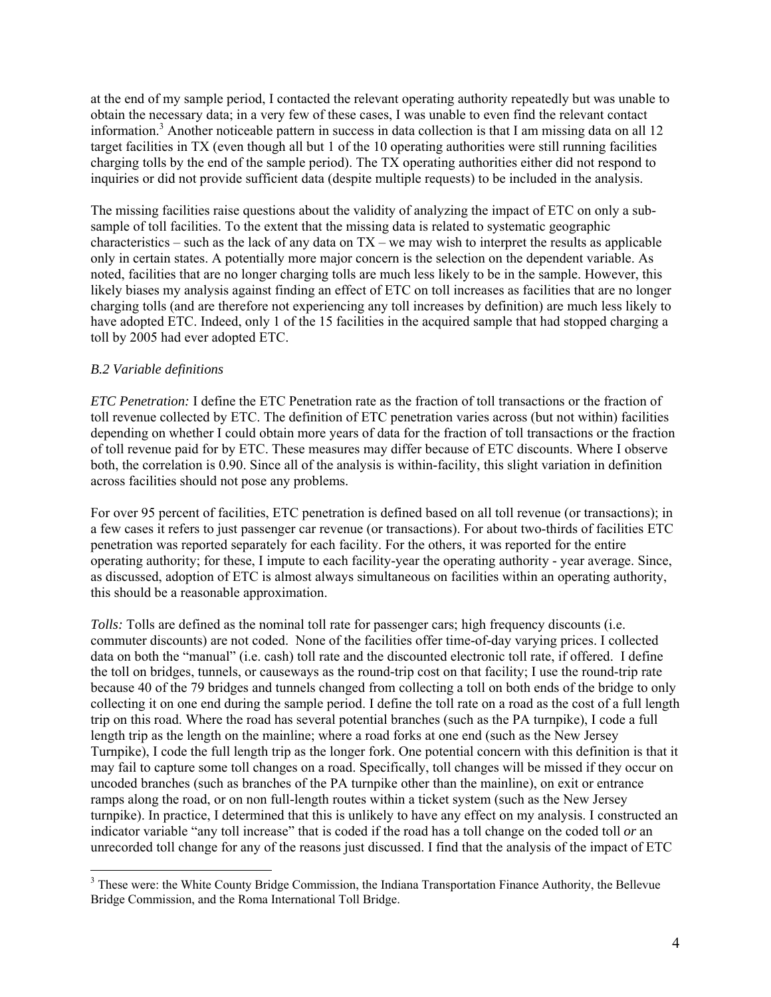at the end of my sample period, I contacted the relevant operating authority repeatedly but was unable to obtain the necessary data; in a very few of these cases, I was unable to even find the relevant contact information.<sup>3</sup> Another noticeable pattern in success in data collection is that I am missing data on all 12 target facilities in TX (even though all but 1 of the 10 operating authorities were still running facilities charging tolls by the end of the sample period). The TX operating authorities either did not respond to inquiries or did not provide sufficient data (despite multiple requests) to be included in the analysis.

The missing facilities raise questions about the validity of analyzing the impact of ETC on only a subsample of toll facilities. To the extent that the missing data is related to systematic geographic characteristics – such as the lack of any data on  $TX$  – we may wish to interpret the results as applicable only in certain states. A potentially more major concern is the selection on the dependent variable. As noted, facilities that are no longer charging tolls are much less likely to be in the sample. However, this likely biases my analysis against finding an effect of ETC on toll increases as facilities that are no longer charging tolls (and are therefore not experiencing any toll increases by definition) are much less likely to have adopted ETC. Indeed, only 1 of the 15 facilities in the acquired sample that had stopped charging a toll by 2005 had ever adopted ETC.

# *B.2 Variable definitions*

 $\overline{a}$ 

*ETC Penetration:* I define the ETC Penetration rate as the fraction of toll transactions or the fraction of toll revenue collected by ETC. The definition of ETC penetration varies across (but not within) facilities depending on whether I could obtain more years of data for the fraction of toll transactions or the fraction of toll revenue paid for by ETC. These measures may differ because of ETC discounts. Where I observe both, the correlation is 0.90. Since all of the analysis is within-facility, this slight variation in definition across facilities should not pose any problems.

For over 95 percent of facilities, ETC penetration is defined based on all toll revenue (or transactions); in a few cases it refers to just passenger car revenue (or transactions). For about two-thirds of facilities ETC penetration was reported separately for each facility. For the others, it was reported for the entire operating authority; for these, I impute to each facility-year the operating authority - year average. Since, as discussed, adoption of ETC is almost always simultaneous on facilities within an operating authority, this should be a reasonable approximation.

*Tolls:* Tolls are defined as the nominal toll rate for passenger cars; high frequency discounts (i.e. commuter discounts) are not coded. None of the facilities offer time-of-day varying prices. I collected data on both the "manual" (i.e. cash) toll rate and the discounted electronic toll rate, if offered. I define the toll on bridges, tunnels, or causeways as the round-trip cost on that facility; I use the round-trip rate because 40 of the 79 bridges and tunnels changed from collecting a toll on both ends of the bridge to only collecting it on one end during the sample period. I define the toll rate on a road as the cost of a full length trip on this road. Where the road has several potential branches (such as the PA turnpike), I code a full length trip as the length on the mainline; where a road forks at one end (such as the New Jersey Turnpike), I code the full length trip as the longer fork. One potential concern with this definition is that it may fail to capture some toll changes on a road. Specifically, toll changes will be missed if they occur on uncoded branches (such as branches of the PA turnpike other than the mainline), on exit or entrance ramps along the road, or on non full-length routes within a ticket system (such as the New Jersey turnpike). In practice, I determined that this is unlikely to have any effect on my analysis. I constructed an indicator variable "any toll increase" that is coded if the road has a toll change on the coded toll *or* an unrecorded toll change for any of the reasons just discussed. I find that the analysis of the impact of ETC

<sup>&</sup>lt;sup>3</sup> These were: the White County Bridge Commission, the Indiana Transportation Finance Authority, the Bellevue Bridge Commission, and the Roma International Toll Bridge.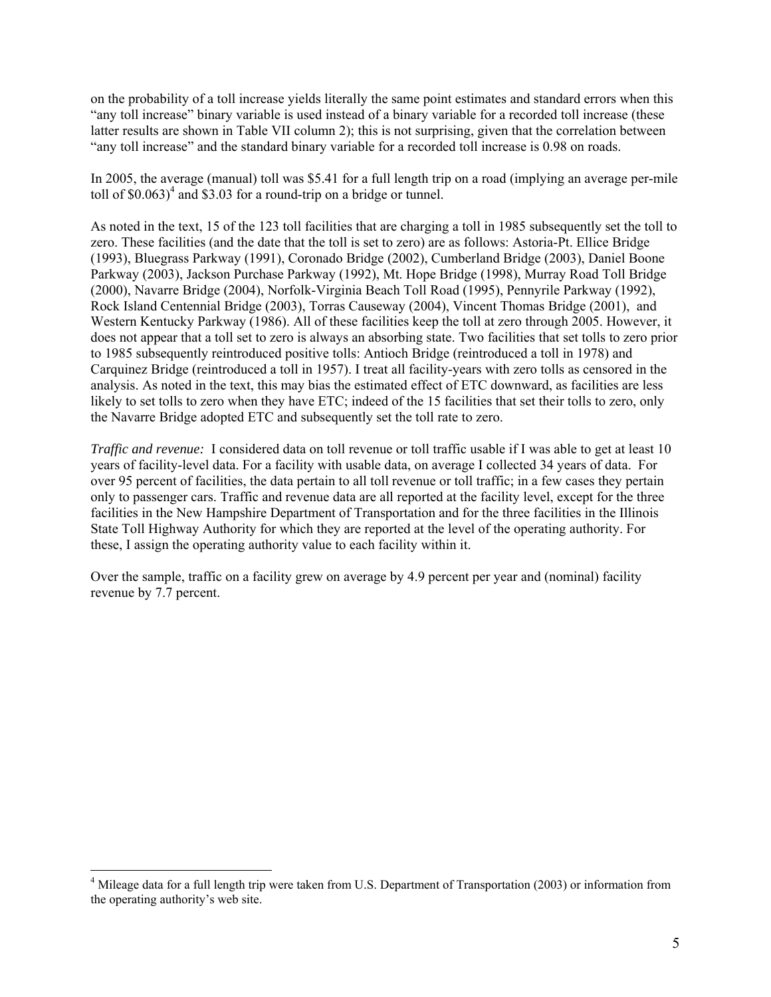on the probability of a toll increase yields literally the same point estimates and standard errors when this "any toll increase" binary variable is used instead of a binary variable for a recorded toll increase (these latter results are shown in Table VII column 2); this is not surprising, given that the correlation between "any toll increase" and the standard binary variable for a recorded toll increase is 0.98 on roads.

In 2005, the average (manual) toll was \$5.41 for a full length trip on a road (implying an average per-mile toll of  $$0.063$ <sup>4</sup> and  $$3.03$  for a round-trip on a bridge or tunnel.

As noted in the text, 15 of the 123 toll facilities that are charging a toll in 1985 subsequently set the toll to zero. These facilities (and the date that the toll is set to zero) are as follows: Astoria-Pt. Ellice Bridge (1993), Bluegrass Parkway (1991), Coronado Bridge (2002), Cumberland Bridge (2003), Daniel Boone Parkway (2003), Jackson Purchase Parkway (1992), Mt. Hope Bridge (1998), Murray Road Toll Bridge (2000), Navarre Bridge (2004), Norfolk-Virginia Beach Toll Road (1995), Pennyrile Parkway (1992), Rock Island Centennial Bridge (2003), Torras Causeway (2004), Vincent Thomas Bridge (2001), and Western Kentucky Parkway (1986). All of these facilities keep the toll at zero through 2005. However, it does not appear that a toll set to zero is always an absorbing state. Two facilities that set tolls to zero prior to 1985 subsequently reintroduced positive tolls: Antioch Bridge (reintroduced a toll in 1978) and Carquinez Bridge (reintroduced a toll in 1957). I treat all facility-years with zero tolls as censored in the analysis. As noted in the text, this may bias the estimated effect of ETC downward, as facilities are less likely to set tolls to zero when they have ETC; indeed of the 15 facilities that set their tolls to zero, only the Navarre Bridge adopted ETC and subsequently set the toll rate to zero.

*Traffic and revenue:* I considered data on toll revenue or toll traffic usable if I was able to get at least 10 years of facility-level data. For a facility with usable data, on average I collected 34 years of data. For over 95 percent of facilities, the data pertain to all toll revenue or toll traffic; in a few cases they pertain only to passenger cars. Traffic and revenue data are all reported at the facility level, except for the three facilities in the New Hampshire Department of Transportation and for the three facilities in the Illinois State Toll Highway Authority for which they are reported at the level of the operating authority. For these, I assign the operating authority value to each facility within it.

Over the sample, traffic on a facility grew on average by 4.9 percent per year and (nominal) facility revenue by 7.7 percent.

 $\overline{a}$ 

<sup>&</sup>lt;sup>4</sup> Mileage data for a full length trip were taken from U.S. Department of Transportation (2003) or information from the operating authority's web site.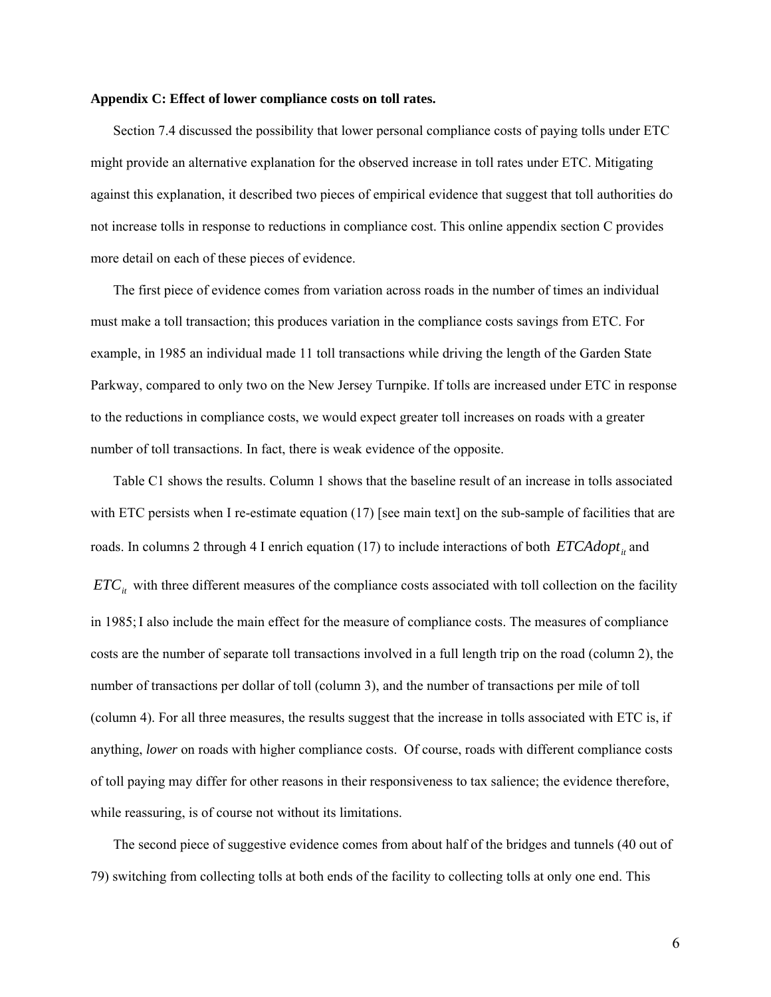#### **Appendix C: Effect of lower compliance costs on toll rates.**

Section 7.4 discussed the possibility that lower personal compliance costs of paying tolls under ETC might provide an alternative explanation for the observed increase in toll rates under ETC. Mitigating against this explanation, it described two pieces of empirical evidence that suggest that toll authorities do not increase tolls in response to reductions in compliance cost. This online appendix section C provides more detail on each of these pieces of evidence.

The first piece of evidence comes from variation across roads in the number of times an individual must make a toll transaction; this produces variation in the compliance costs savings from ETC. For example, in 1985 an individual made 11 toll transactions while driving the length of the Garden State Parkway, compared to only two on the New Jersey Turnpike. If tolls are increased under ETC in response to the reductions in compliance costs, we would expect greater toll increases on roads with a greater number of toll transactions. In fact, there is weak evidence of the opposite.

Table C1 shows the results. Column 1 shows that the baseline result of an increase in tolls associated with ETC persists when I re-estimate equation (17) [see main text] on the sub-sample of facilities that are roads. In columns 2 through 4 I enrich equation (17) to include interactions of both  $ETCAdopt<sub>it</sub>$  and  $ETC<sub>it</sub>$  with three different measures of the compliance costs associated with toll collection on the facility in 1985;I also include the main effect for the measure of compliance costs. The measures of compliance costs are the number of separate toll transactions involved in a full length trip on the road (column 2), the number of transactions per dollar of toll (column 3), and the number of transactions per mile of toll (column 4). For all three measures, the results suggest that the increase in tolls associated with ETC is, if anything, *lower* on roads with higher compliance costs. Of course, roads with different compliance costs of toll paying may differ for other reasons in their responsiveness to tax salience; the evidence therefore, while reassuring, is of course not without its limitations.

The second piece of suggestive evidence comes from about half of the bridges and tunnels (40 out of 79) switching from collecting tolls at both ends of the facility to collecting tolls at only one end. This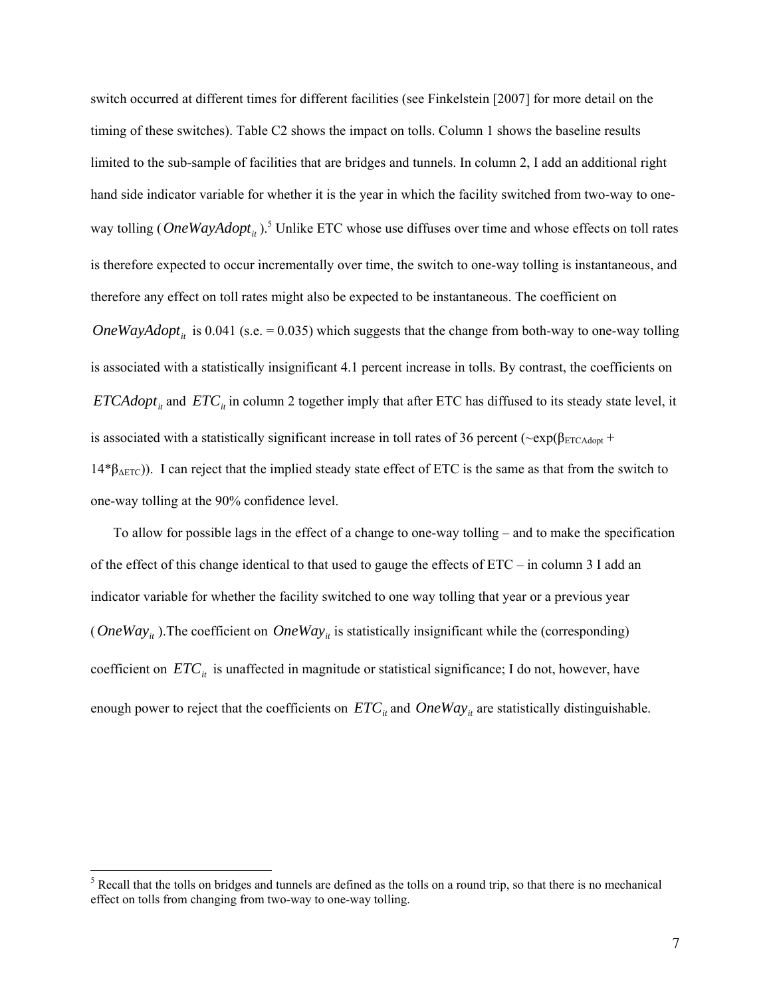switch occurred at different times for different facilities (see Finkelstein [2007] for more detail on the timing of these switches). Table C2 shows the impact on tolls. Column 1 shows the baseline results limited to the sub-sample of facilities that are bridges and tunnels. In column 2, I add an additional right hand side indicator variable for whether it is the year in which the facility switched from two-way to oneway tolling (*OneWayAdopt*<sub>it</sub>).<sup>5</sup> Unlike ETC whose use diffuses over time and whose effects on toll rates is therefore expected to occur incrementally over time, the switch to one-way tolling is instantaneous, and therefore any effect on toll rates might also be expected to be instantaneous. The coefficient on *OneWayAdopt*<sub>it</sub> is 0.041 (s.e. = 0.035) which suggests that the change from both-way to one-way tolling is associated with a statistically insignificant 4.1 percent increase in tolls. By contrast, the coefficients on *ETCAdopt<sub>it</sub>* and *ETC<sub>it</sub>* in column 2 together imply that after ETC has diffused to its steady state level, it is associated with a statistically significant increase in toll rates of 36 percent ( $\sim$ exp( $\beta_{ETCAdot}$ +  $14*β<sub>ΔETC</sub>)$ ). I can reject that the implied steady state effect of ETC is the same as that from the switch to one-way tolling at the 90% confidence level.

To allow for possible lags in the effect of a change to one-way tolling – and to make the specification of the effect of this change identical to that used to gauge the effects of ETC – in column 3 I add an indicator variable for whether the facility switched to one way tolling that year or a previous year (*OneWay<sub>it</sub>*). The coefficient on *OneWay<sub>it</sub>* is statistically insignificant while the (corresponding) coefficient on  $ETC<sub>it</sub>$  is unaffected in magnitude or statistical significance; I do not, however, have enough power to reject that the coefficients on  $ETC_{it}$  and  $OneWay_{it}$  are statistically distinguishable.

 $\overline{a}$ 

 $<sup>5</sup>$  Recall that the tolls on bridges and tunnels are defined as the tolls on a round trip, so that there is no mechanical</sup> effect on tolls from changing from two-way to one-way tolling.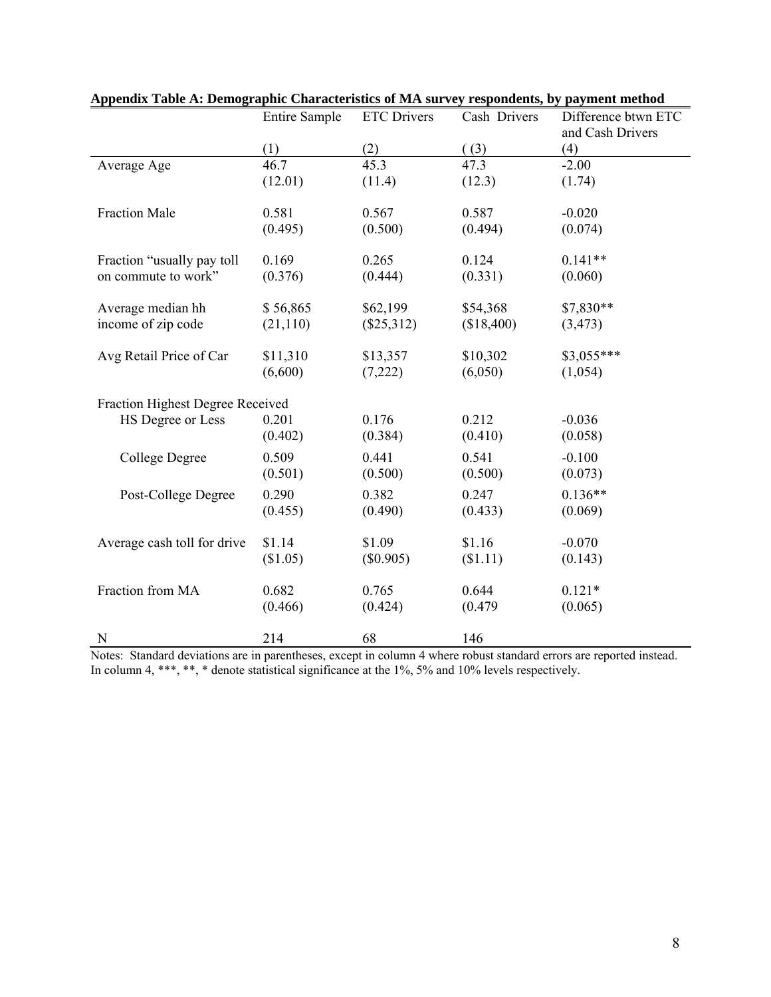|                                  | <b>Entire Sample</b> | <b>ETC</b> Drivers | Cash Drivers | Difference btwn ETC |
|----------------------------------|----------------------|--------------------|--------------|---------------------|
|                                  |                      |                    |              | and Cash Drivers    |
|                                  | (1)                  | (2)                | (3)          | (4)                 |
| Average Age                      | 46.7                 | 45.3               | 47.3         | $-2.00$             |
|                                  | (12.01)              | (11.4)             | (12.3)       | (1.74)              |
|                                  |                      |                    |              |                     |
| <b>Fraction Male</b>             | 0.581                | 0.567              | 0.587        | $-0.020$            |
|                                  | (0.495)              | (0.500)            | (0.494)      | (0.074)             |
|                                  |                      |                    |              |                     |
| Fraction "usually pay toll       | 0.169                | 0.265              | 0.124        | $0.141**$           |
| on commute to work"              | (0.376)              | (0.444)            | (0.331)      | (0.060)             |
|                                  |                      |                    |              |                     |
| Average median hh                | \$56,865             | \$62,199           | \$54,368     | \$7,830**           |
| income of zip code               | (21, 110)            | $(\$25,312)$       | (\$18,400)   | (3, 473)            |
|                                  |                      |                    |              |                     |
| Avg Retail Price of Car          | \$11,310             | \$13,357           | \$10,302     | $$3,055***$         |
|                                  | (6,600)              | (7,222)            | (6,050)      | (1,054)             |
|                                  |                      |                    |              |                     |
| Fraction Highest Degree Received |                      |                    |              |                     |
| HS Degree or Less                | 0.201                | 0.176              | 0.212        | $-0.036$            |
|                                  | (0.402)              | (0.384)            | (0.410)      | (0.058)             |
| College Degree                   | 0.509                | 0.441              | 0.541        | $-0.100$            |
|                                  | (0.501)              | (0.500)            | (0.500)      | (0.073)             |
| Post-College Degree              | 0.290                | 0.382              | 0.247        | $0.136**$           |
|                                  | (0.455)              | (0.490)            | (0.433)      | (0.069)             |
|                                  |                      |                    |              |                     |
| Average cash toll for drive      | \$1.14               | \$1.09             | \$1.16       | $-0.070$            |
|                                  | (\$1.05)             | $(\$0.905)$        | (\$1.11)     | (0.143)             |
|                                  |                      |                    |              |                     |
| Fraction from MA                 | 0.682                | 0.765              | 0.644        | $0.121*$            |
|                                  | (0.466)              | (0.424)            | (0.479)      | (0.065)             |
|                                  |                      |                    |              |                     |
| N                                | 214                  | 68                 | 146          |                     |

Notes: Standard deviations are in parentheses, except in column 4 where robust standard errors are reported instead. In column 4, \*\*\*, \*\*, \* denote statistical significance at the 1%, 5% and 10% levels respectively.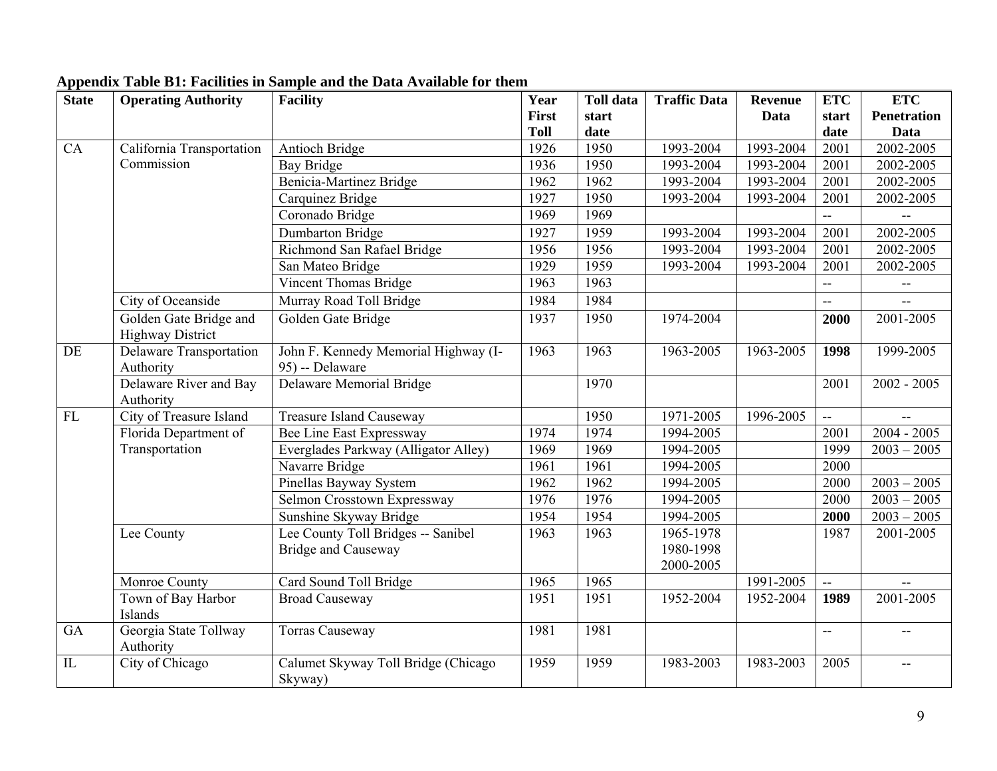| <b>State</b> | <b>Operating Authority</b>                        | <b>Facility</b>                      | Year        | <b>Toll data</b> | <b>Traffic Data</b> | <b>Revenue</b> | <b>ETC</b>                | <b>ETC</b>               |
|--------------|---------------------------------------------------|--------------------------------------|-------------|------------------|---------------------|----------------|---------------------------|--------------------------|
|              |                                                   |                                      | First       | start            |                     | Data           | start                     | <b>Penetration</b>       |
|              |                                                   |                                      | <b>Toll</b> | date             |                     |                | date                      | Data                     |
| CA           | California Transportation                         | Antioch Bridge                       | 1926        | 1950             | 1993-2004           | 1993-2004      | 2001                      | 2002-2005                |
|              | Commission                                        | Bay Bridge                           | 1936        | 1950             | 1993-2004           | 1993-2004      | 2001                      | 2002-2005                |
|              |                                                   | <b>Benicia-Martinez Bridge</b>       | 1962        | 1962             | 1993-2004           | 1993-2004      | 2001                      | 2002-2005                |
|              |                                                   | Carquinez Bridge                     | 1927        | 1950             | 1993-2004           | 1993-2004      | 2001                      | 2002-2005                |
|              |                                                   | Coronado Bridge                      | 1969        | 1969             |                     |                | ω.                        |                          |
|              |                                                   | Dumbarton Bridge                     | 1927        | 1959             | 1993-2004           | 1993-2004      | 2001                      | 2002-2005                |
|              |                                                   | Richmond San Rafael Bridge           | 1956        | 1956             | 1993-2004           | 1993-2004      | 2001                      | 2002-2005                |
|              |                                                   | San Mateo Bridge                     | 1929        | 1959             | 1993-2004           | 1993-2004      | 2001                      | 2002-2005                |
|              |                                                   | Vincent Thomas Bridge                | 1963        | 1963             |                     |                | $\overline{\phantom{a}}$  | $\overline{\phantom{a}}$ |
|              | City of Oceanside                                 | Murray Road Toll Bridge              | 1984        | 1984             |                     |                | $\overline{\phantom{a}}$  | $-$                      |
|              | Golden Gate Bridge and<br><b>Highway District</b> | Golden Gate Bridge                   | 1937        | 1950             | 1974-2004           |                | 2000                      | 2001-2005                |
| DE           | <b>Delaware Transportation</b>                    | John F. Kennedy Memorial Highway (I- | 1963        | 1963             | 1963-2005           | $1963 - 2005$  | 1998                      | 1999-2005                |
|              | Authority                                         | 95) -- Delaware                      |             |                  |                     |                |                           |                          |
|              | Delaware River and Bay                            | Delaware Memorial Bridge             |             | 1970             |                     |                | 2001                      | $2002 - 2005$            |
|              | Authority                                         |                                      |             |                  |                     |                |                           |                          |
| FL           | City of Treasure Island                           | <b>Treasure Island Causeway</b>      |             | 1950             | 1971-2005           | 1996-2005      | $\mathbb{L}^{\mathbb{L}}$ |                          |
|              | Florida Department of                             | <b>Bee Line East Expressway</b>      | 1974        | 1974             | 1994-2005           |                | 2001                      | $2004 - 2005$            |
|              | Transportation                                    | Everglades Parkway (Alligator Alley) | 1969        | 1969             | 1994-2005           |                | 1999                      | $2003 - 2005$            |
|              |                                                   | Navarre Bridge                       | 1961        | 1961             | 1994-2005           |                | 2000                      |                          |
|              |                                                   | Pinellas Bayway System               | 1962        | 1962             | 1994-2005           |                | 2000                      | $2003 - 2005$            |
|              |                                                   | Selmon Crosstown Expressway          | 1976        | 1976             | 1994-2005           |                | 2000                      | $2003 - 2005$            |
|              |                                                   | Sunshine Skyway Bridge               | 1954        | 1954             | 1994-2005           |                | 2000                      | $2003 - 2005$            |
|              | Lee County                                        | Lee County Toll Bridges -- Sanibel   | 1963        | 1963             | 1965-1978           |                | 1987                      | 2001-2005                |
|              |                                                   | <b>Bridge and Causeway</b>           |             |                  | 1980-1998           |                |                           |                          |
|              |                                                   |                                      |             |                  | 2000-2005           |                |                           |                          |
|              | Monroe County                                     | Card Sound Toll Bridge               | 1965        | 1965             |                     | 1991-2005      | ц.                        |                          |
|              | Town of Bay Harbor                                | <b>Broad Causeway</b>                | 1951        | 1951             | 1952-2004           | 1952-2004      | 1989                      | 2001-2005                |
|              | Islands                                           |                                      |             |                  |                     |                |                           |                          |
| GA           | Georgia State Tollway<br>Authority                | <b>Torras Causeway</b>               | 1981        | 1981             |                     |                | $-$                       | $-$                      |
| IL           | City of Chicago                                   | Calumet Skyway Toll Bridge (Chicago  | 1959        | 1959             | 1983-2003           | 1983-2003      | 2005                      | $\overline{a}$           |
|              |                                                   | Skyway)                              |             |                  |                     |                |                           |                          |

# **Appendix Table B1: Facilities in Sample and the Data Available for them**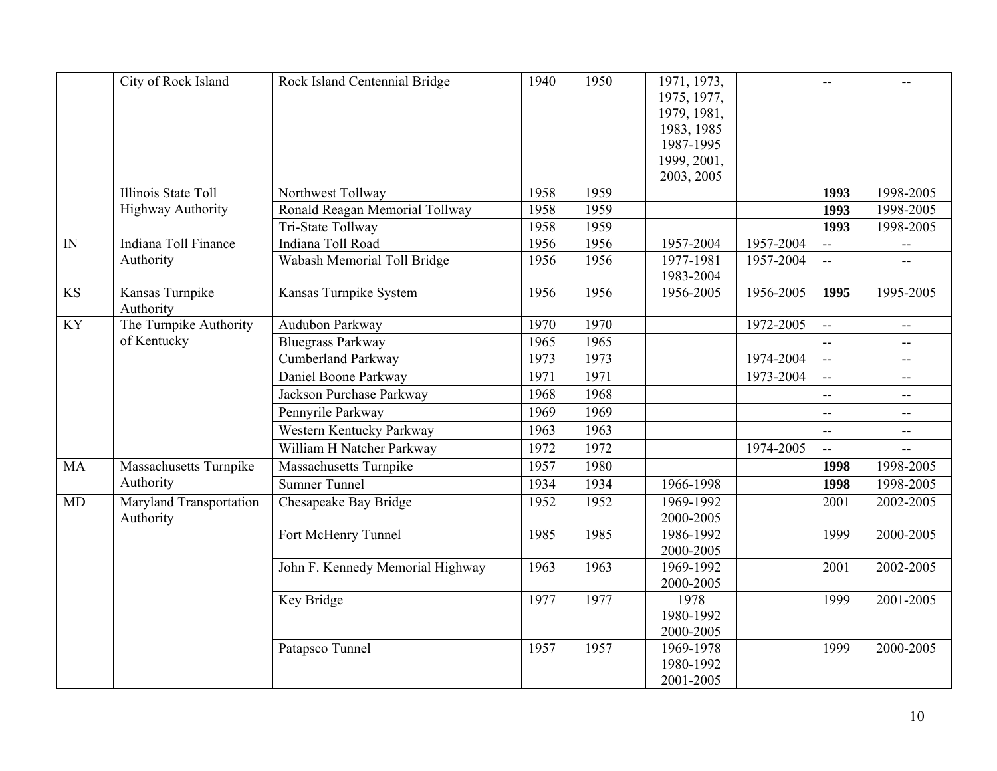|           | City of Rock Island          | Rock Island Centennial Bridge    | 1940 | 1950 | 1971, 1973,            |           | $-$                      |                          |
|-----------|------------------------------|----------------------------------|------|------|------------------------|-----------|--------------------------|--------------------------|
|           |                              |                                  |      |      | 1975, 1977,            |           |                          |                          |
|           |                              |                                  |      |      | 1979, 1981,            |           |                          |                          |
|           |                              |                                  |      |      | 1983, 1985             |           |                          |                          |
|           |                              |                                  |      |      | 1987-1995              |           |                          |                          |
|           |                              |                                  |      |      | 1999, 2001,            |           |                          |                          |
|           |                              |                                  |      |      | 2003, 2005             |           |                          |                          |
|           | Illinois State Toll          | Northwest Tollway                | 1958 | 1959 |                        |           | 1993                     | 1998-2005                |
|           | <b>Highway Authority</b>     | Ronald Reagan Memorial Tollway   | 1958 | 1959 |                        |           | 1993                     | 1998-2005                |
|           |                              | Tri-State Tollway                | 1958 | 1959 |                        |           | 1993                     | 1998-2005                |
| IN        | Indiana Toll Finance         | Indiana Toll Road                | 1956 | 1956 | 1957-2004              | 1957-2004 | $\overline{a}$           | $\overline{\phantom{m}}$ |
|           | Authority                    | Wabash Memorial Toll Bridge      | 1956 | 1956 | 1977-1981<br>1983-2004 | 1957-2004 | $\mathbf{u}$             |                          |
| <b>KS</b> | Kansas Turnpike<br>Authority | Kansas Turnpike System           | 1956 | 1956 | 1956-2005              | 1956-2005 | 1995                     | 1995-2005                |
| <b>KY</b> | The Turnpike Authority       | Audubon Parkway                  | 1970 | 1970 |                        | 1972-2005 | $\mathbb{L}^{\perp}$     | $\mathbf{u}$             |
|           | of Kentucky                  | <b>Bluegrass Parkway</b>         | 1965 | 1965 |                        |           | $\overline{\phantom{a}}$ | $- -$                    |
|           |                              | <b>Cumberland Parkway</b>        | 1973 | 1973 |                        | 1974-2004 | $\sim$                   | $\overline{a}$           |
|           |                              | Daniel Boone Parkway             | 1971 | 1971 |                        | 1973-2004 | $\mathbb{L}^{\perp}$     | --                       |
|           |                              | Jackson Purchase Parkway         | 1968 | 1968 |                        |           | $\mathbf{u}$             | $\overline{\phantom{a}}$ |
|           |                              | Pennyrile Parkway                | 1969 | 1969 |                        |           | $\mathbf{u}$             | $\overline{\phantom{a}}$ |
|           |                              | Western Kentucky Parkway         | 1963 | 1963 |                        |           | $\overline{\phantom{a}}$ | н.                       |
|           |                              | William H Natcher Parkway        | 1972 | 1972 |                        | 1974-2005 | ω.                       |                          |
| MA        | Massachusetts Turnpike       | Massachusetts Turnpike           | 1957 | 1980 |                        |           | 1998                     | 1998-2005                |
|           | Authority                    | <b>Sumner Tunnel</b>             | 1934 | 1934 | 1966-1998              |           | 1998                     | 1998-2005                |
| MD        | Maryland Transportation      | Chesapeake Bay Bridge            | 1952 | 1952 | 1969-1992              |           | 2001                     | 2002-2005                |
|           | Authority                    |                                  |      |      | 2000-2005              |           |                          |                          |
|           |                              | Fort McHenry Tunnel              | 1985 | 1985 | 1986-1992              |           | 1999                     | 2000-2005                |
|           |                              |                                  |      |      | 2000-2005              |           |                          |                          |
|           |                              | John F. Kennedy Memorial Highway | 1963 | 1963 | 1969-1992              |           | 2001                     | 2002-2005                |
|           |                              |                                  |      |      | 2000-2005              |           |                          |                          |
|           |                              | Key Bridge                       | 1977 | 1977 | 1978                   |           | 1999                     | 2001-2005                |
|           |                              |                                  |      |      | 1980-1992              |           |                          |                          |
|           |                              |                                  |      |      | 2000-2005              |           |                          |                          |
|           |                              | Patapsco Tunnel                  | 1957 | 1957 | 1969-1978              |           | 1999                     | 2000-2005                |
|           |                              |                                  |      |      | 1980-1992              |           |                          |                          |
|           |                              |                                  |      |      | 2001-2005              |           |                          |                          |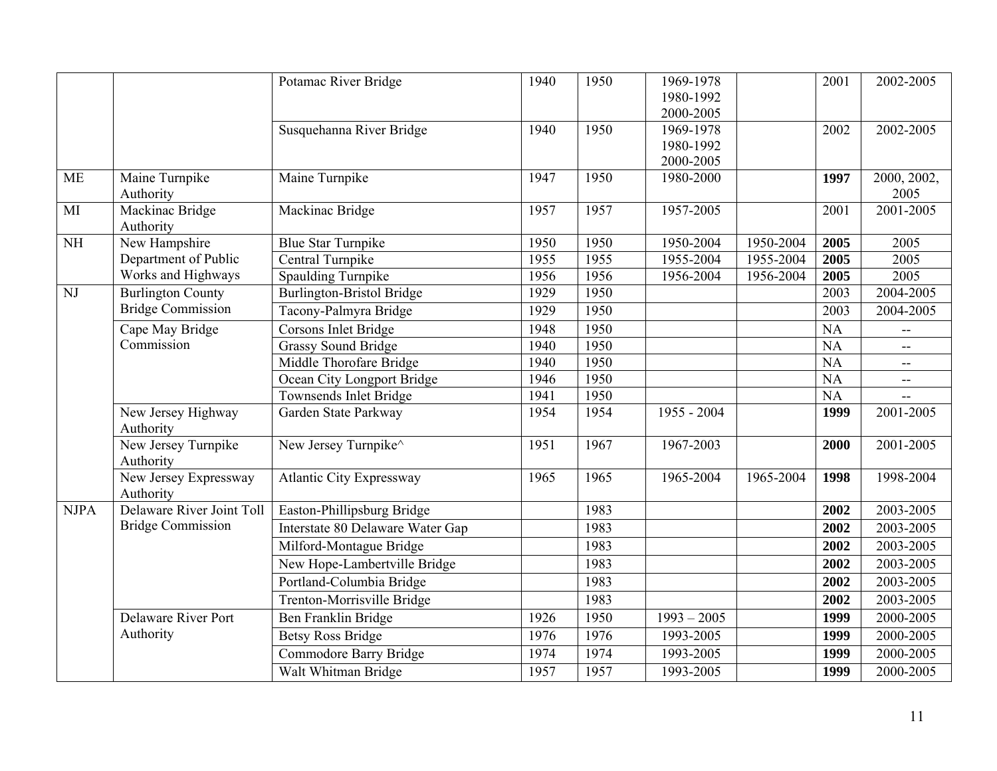|                        |                                    | Potamac River Bridge             | 1940 | 1950 | 1969-1978<br>1980-1992 |           | 2001      | 2002-2005                |
|------------------------|------------------------------------|----------------------------------|------|------|------------------------|-----------|-----------|--------------------------|
|                        |                                    |                                  |      |      | 2000-2005              |           |           |                          |
|                        |                                    | Susquehanna River Bridge         | 1940 | 1950 | 1969-1978              |           | 2002      | 2002-2005                |
|                        |                                    |                                  |      |      | 1980-1992              |           |           |                          |
|                        |                                    |                                  |      |      | 2000-2005              |           |           |                          |
| <b>ME</b>              | Maine Turnpike<br>Authority        | Maine Turnpike                   | 1947 | 1950 | 1980-2000              |           | 1997      | 2000, 2002,<br>2005      |
| MI                     | Mackinac Bridge<br>Authority       | Mackinac Bridge                  | 1957 | 1957 | 1957-2005              |           | 2001      | 2001-2005                |
| $\overline{\text{NH}}$ | New Hampshire                      | <b>Blue Star Turnpike</b>        | 1950 | 1950 | 1950-2004              | 1950-2004 | 2005      | 2005                     |
|                        | Department of Public               | Central Turnpike                 | 1955 | 1955 | 1955-2004              | 1955-2004 | 2005      | 2005                     |
|                        | Works and Highways                 | <b>Spaulding Turnpike</b>        | 1956 | 1956 | 1956-2004              | 1956-2004 | 2005      | 2005                     |
| NJ                     | <b>Burlington County</b>           | <b>Burlington-Bristol Bridge</b> | 1929 | 1950 |                        |           | 2003      | 2004-2005                |
|                        | <b>Bridge Commission</b>           | Tacony-Palmyra Bridge            | 1929 | 1950 |                        |           | 2003      | 2004-2005                |
|                        | Cape May Bridge                    | Corsons Inlet Bridge             | 1948 | 1950 |                        |           | <b>NA</b> | $\overline{a}$           |
|                        | Commission                         | <b>Grassy Sound Bridge</b>       | 1940 | 1950 |                        |           | <b>NA</b> | $- -$                    |
|                        |                                    | Middle Thorofare Bridge          | 1940 | 1950 |                        |           | NA        | $- -$                    |
|                        |                                    | Ocean City Longport Bridge       | 1946 | 1950 |                        |           | <b>NA</b> | $\overline{\phantom{a}}$ |
|                        |                                    | Townsends Inlet Bridge           | 1941 | 1950 |                        |           | NA        |                          |
|                        | New Jersey Highway<br>Authority    | Garden State Parkway             | 1954 | 1954 | 1955 - 2004            |           | 1999      | 2001-2005                |
|                        | New Jersey Turnpike<br>Authority   | New Jersey Turnpike <sup>^</sup> | 1951 | 1967 | 1967-2003              |           | 2000      | 2001-2005                |
|                        | New Jersey Expressway<br>Authority | <b>Atlantic City Expressway</b>  | 1965 | 1965 | 1965-2004              | 1965-2004 | 1998      | 1998-2004                |
| <b>NJPA</b>            | Delaware River Joint Toll          | Easton-Phillipsburg Bridge       |      | 1983 |                        |           | 2002      | 2003-2005                |
|                        | <b>Bridge Commission</b>           | Interstate 80 Delaware Water Gap |      | 1983 |                        |           | 2002      | 2003-2005                |
|                        |                                    | Milford-Montague Bridge          |      | 1983 |                        |           | 2002      | 2003-2005                |
|                        |                                    | New Hope-Lambertville Bridge     |      | 1983 |                        |           | 2002      | 2003-2005                |
|                        |                                    | Portland-Columbia Bridge         |      | 1983 |                        |           | 2002      | 2003-2005                |
|                        |                                    | Trenton-Morrisville Bridge       |      | 1983 |                        |           | 2002      | 2003-2005                |
|                        | <b>Delaware River Port</b>         | Ben Franklin Bridge              | 1926 | 1950 | $1993 - 2005$          |           | 1999      | 2000-2005                |
|                        | Authority                          | <b>Betsy Ross Bridge</b>         | 1976 | 1976 | 1993-2005              |           | 1999      | 2000-2005                |
|                        |                                    | Commodore Barry Bridge           | 1974 | 1974 | 1993-2005              |           | 1999      | 2000-2005                |
|                        |                                    | Walt Whitman Bridge              | 1957 | 1957 | 1993-2005              |           | 1999      | 2000-2005                |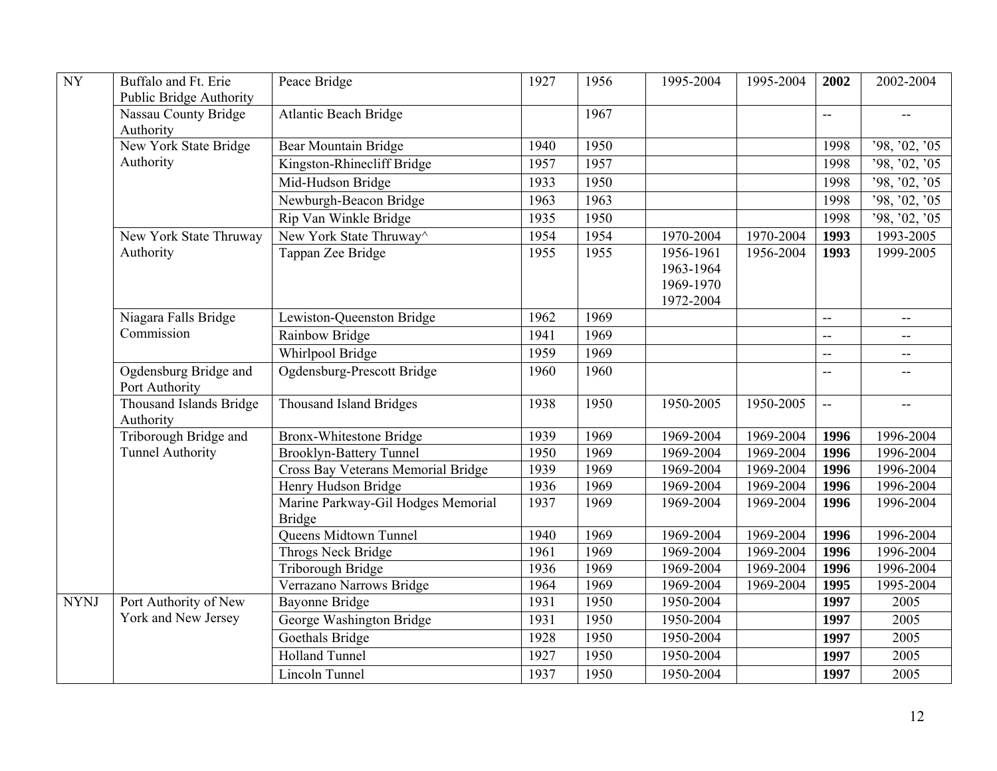| <b>NY</b>   | Buffalo and Ft. Erie<br>Public Bridge Authority | Peace Bridge                                        | 1927 | 1956 | 1995-2004                                        | 1995-2004 | 2002           | 2002-2004                                     |
|-------------|-------------------------------------------------|-----------------------------------------------------|------|------|--------------------------------------------------|-----------|----------------|-----------------------------------------------|
|             | Nassau County Bridge<br>Authority               | <b>Atlantic Beach Bridge</b>                        |      | 1967 |                                                  |           | ΞĒ,            | $\overline{\phantom{m}}$                      |
|             | New York State Bridge                           | Bear Mountain Bridge                                | 1940 | 1950 |                                                  |           | 1998           | '98, '02, '05                                 |
|             | Authority                                       | Kingston-Rhinecliff Bridge                          | 1957 | 1957 |                                                  |           | 1998           | '98, '02, '05                                 |
|             |                                                 | Mid-Hudson Bridge                                   | 1933 | 1950 |                                                  |           | 1998           | '98, '02, '05                                 |
|             |                                                 | Newburgh-Beacon Bridge                              | 1963 | 1963 |                                                  |           | 1998           | '98, '02, '05                                 |
|             |                                                 | Rip Van Winkle Bridge                               | 1935 | 1950 |                                                  |           | 1998           | 98, 02, 05                                    |
|             | New York State Thruway                          | New York State Thruway <sup>^</sup>                 | 1954 | 1954 | 1970-2004                                        | 1970-2004 | 1993           | 1993-2005                                     |
|             | Authority                                       | Tappan Zee Bridge                                   | 1955 | 1955 | 1956-1961<br>1963-1964<br>1969-1970<br>1972-2004 | 1956-2004 | 1993           | 1999-2005                                     |
|             | Niagara Falls Bridge                            | Lewiston-Queenston Bridge                           | 1962 | 1969 |                                                  |           | uu             | $\mathord{\hspace{1pt}\text{--}\hspace{1pt}}$ |
|             | Commission                                      | Rainbow Bridge                                      | 1941 | 1969 |                                                  |           | $\overline{a}$ | $\overline{a}$                                |
|             |                                                 | Whirlpool Bridge                                    | 1959 | 1969 |                                                  |           | $\overline{a}$ | $\overline{\phantom{a}}$                      |
|             | Ogdensburg Bridge and<br>Port Authority         | Ogdensburg-Prescott Bridge                          | 1960 | 1960 |                                                  |           | $\overline{a}$ |                                               |
|             | Thousand Islands Bridge<br>Authority            | <b>Thousand Island Bridges</b>                      | 1938 | 1950 | 1950-2005                                        | 1950-2005 | $\mathbb{Z}^2$ | $\mathbf{u}$                                  |
|             | Triborough Bridge and                           | <b>Bronx-Whitestone Bridge</b>                      | 1939 | 1969 | 1969-2004                                        | 1969-2004 | 1996           | 1996-2004                                     |
|             | <b>Tunnel Authority</b>                         | <b>Brooklyn-Battery Tunnel</b>                      | 1950 | 1969 | 1969-2004                                        | 1969-2004 | 1996           | 1996-2004                                     |
|             |                                                 | Cross Bay Veterans Memorial Bridge                  | 1939 | 1969 | 1969-2004                                        | 1969-2004 | 1996           | 1996-2004                                     |
|             |                                                 | Henry Hudson Bridge                                 | 1936 | 1969 | 1969-2004                                        | 1969-2004 | 1996           | 1996-2004                                     |
|             |                                                 | Marine Parkway-Gil Hodges Memorial<br><b>Bridge</b> | 1937 | 1969 | 1969-2004                                        | 1969-2004 | 1996           | 1996-2004                                     |
|             |                                                 | <b>Queens Midtown Tunnel</b>                        | 1940 | 1969 | 1969-2004                                        | 1969-2004 | 1996           | 1996-2004                                     |
|             |                                                 | <b>Throgs Neck Bridge</b>                           | 1961 | 1969 | 1969-2004                                        | 1969-2004 | 1996           | 1996-2004                                     |
|             |                                                 | Triborough Bridge                                   | 1936 | 1969 | 1969-2004                                        | 1969-2004 | 1996           | 1996-2004                                     |
|             |                                                 | Verrazano Narrows Bridge                            | 1964 | 1969 | 1969-2004                                        | 1969-2004 | 1995           | 1995-2004                                     |
| <b>NYNJ</b> | Port Authority of New                           | <b>Bayonne Bridge</b>                               | 1931 | 1950 | 1950-2004                                        |           | 1997           | 2005                                          |
|             | York and New Jersey                             | George Washington Bridge                            | 1931 | 1950 | 1950-2004                                        |           | 1997           | 2005                                          |
|             |                                                 | <b>Goethals Bridge</b>                              | 1928 | 1950 | 1950-2004                                        |           | 1997           | 2005                                          |
|             |                                                 | <b>Holland Tunnel</b>                               | 1927 | 1950 | 1950-2004                                        |           | 1997           | 2005                                          |
|             |                                                 | <b>Lincoln Tunnel</b>                               | 1937 | 1950 | 1950-2004                                        |           | 1997           | 2005                                          |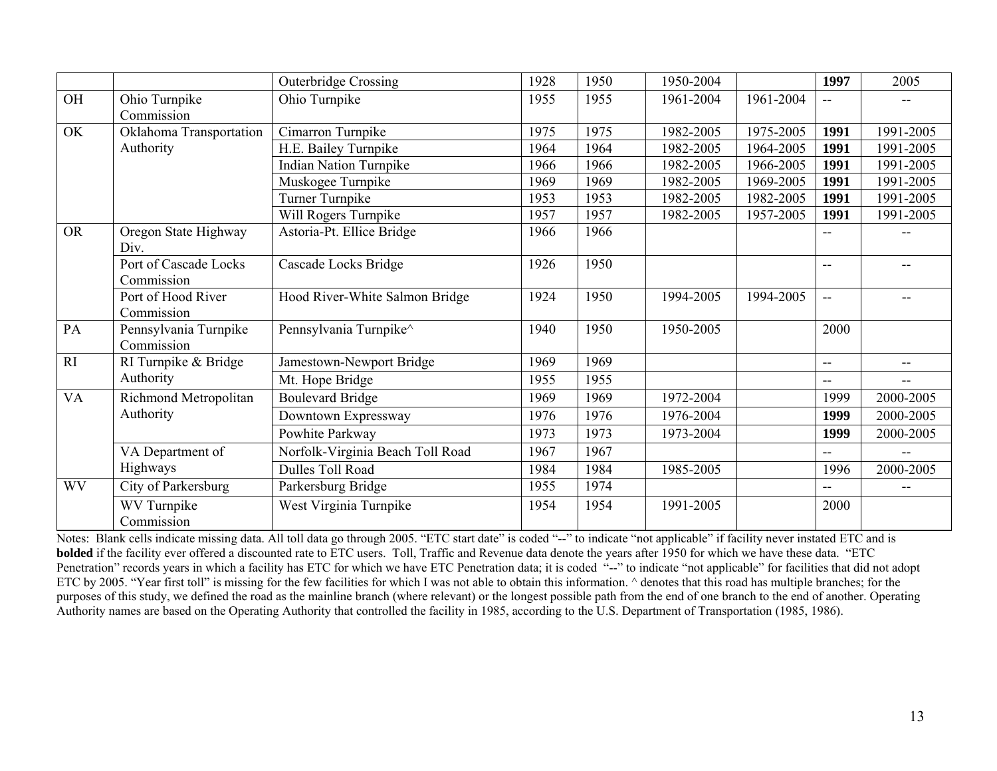|           |                                     | <b>Outerbridge Crossing</b>      | 1928 | 1950 | 1950-2004 |           | 1997           | 2005                     |
|-----------|-------------------------------------|----------------------------------|------|------|-----------|-----------|----------------|--------------------------|
| OH        | Ohio Turnpike<br>Commission         | Ohio Turnpike                    | 1955 | 1955 | 1961-2004 | 1961-2004 | --             |                          |
| OK        | Oklahoma Transportation             | Cimarron Turnpike                | 1975 | 1975 | 1982-2005 | 1975-2005 | 1991           | 1991-2005                |
|           | Authority                           | H.E. Bailey Turnpike             | 1964 | 1964 | 1982-2005 | 1964-2005 | 1991           | 1991-2005                |
|           |                                     | <b>Indian Nation Turnpike</b>    | 1966 | 1966 | 1982-2005 | 1966-2005 | 1991           | 1991-2005                |
|           |                                     | Muskogee Turnpike                | 1969 | 1969 | 1982-2005 | 1969-2005 | 1991           | 1991-2005                |
|           |                                     | Turner Turnpike                  | 1953 | 1953 | 1982-2005 | 1982-2005 | 1991           | 1991-2005                |
|           |                                     | Will Rogers Turnpike             | 1957 | 1957 | 1982-2005 | 1957-2005 | 1991           | 1991-2005                |
| <b>OR</b> | Oregon State Highway<br>Div.        | Astoria-Pt. Ellice Bridge        | 1966 | 1966 |           |           | --             |                          |
|           | Port of Cascade Locks<br>Commission | Cascade Locks Bridge             | 1926 | 1950 |           |           | $- -$          |                          |
|           | Port of Hood River<br>Commission    | Hood River-White Salmon Bridge   | 1924 | 1950 | 1994-2005 | 1994-2005 | $-$            |                          |
| PA        | Pennsylvania Turnpike<br>Commission | Pennsylvania Turnpike^           | 1940 | 1950 | 1950-2005 |           | 2000           |                          |
| RI        | RI Turnpike & Bridge                | Jamestown-Newport Bridge         | 1969 | 1969 |           |           | $-$            | --                       |
|           | Authority                           | Mt. Hope Bridge                  | 1955 | 1955 |           |           | $\overline{a}$ | $-$                      |
| <b>VA</b> | Richmond Metropolitan               | <b>Boulevard Bridge</b>          | 1969 | 1969 | 1972-2004 |           | 1999           | 2000-2005                |
|           | Authority                           | Downtown Expressway              | 1976 | 1976 | 1976-2004 |           | 1999           | 2000-2005                |
|           |                                     | Powhite Parkway                  | 1973 | 1973 | 1973-2004 |           | 1999           | 2000-2005                |
|           | VA Department of                    | Norfolk-Virginia Beach Toll Road | 1967 | 1967 |           |           | --             | $\overline{\phantom{a}}$ |
|           | Highways                            | Dulles Toll Road                 | 1984 | 1984 | 1985-2005 |           | 1996           | 2000-2005                |
| <b>WV</b> | City of Parkersburg                 | Parkersburg Bridge               | 1955 | 1974 |           |           | --             |                          |
|           | WV Turnpike<br>Commission           | West Virginia Turnpike           | 1954 | 1954 | 1991-2005 |           | 2000           |                          |

Notes: Blank cells indicate missing data. All toll data go through 2005. "ETC start date" is coded "--" to indicate "not applicable" if facility never instated ETC and is **bolded** if the facility ever offered a discounted rate to ETC users. Toll, Traffic and Revenue data denote the years after 1950 for which we have these data. "ETC Penetration" records years in which a facility has ETC for which we have ETC Penetration data; it is coded "--" to indicate "not applicable" for facilities that did not adopt ETC by 2005. "Year first toll" is missing for the few facilities for which I was not able to obtain this information. ^ denotes that this road has multiple branches; for the purposes of this study, we defined the road as the mainline branch (where relevant) or the longest possible path from the end of one branch to the end of another. Operating Authority names are based on the Operating Authority that controlled the facility in 1985, according to the U.S. Department of Transportation (1985, 1986).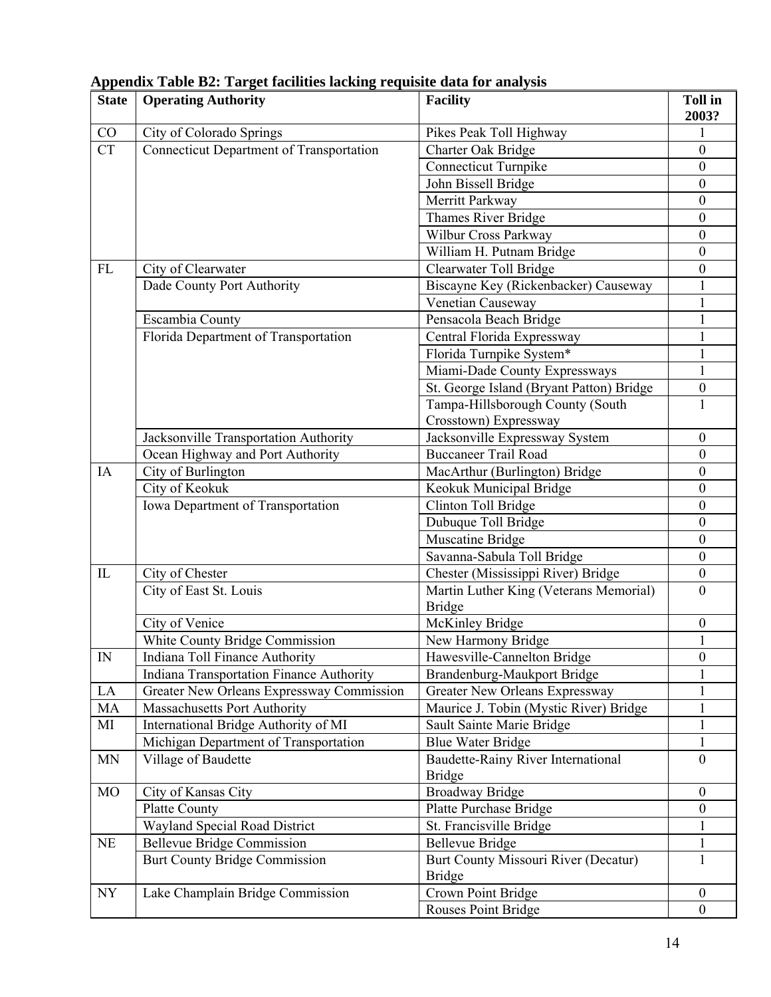| <b>State</b> | <b>Operating Authority</b>                      | <b>Facility</b>                          | <b>Toll in</b><br>2003? |
|--------------|-------------------------------------------------|------------------------------------------|-------------------------|
| CO           | City of Colorado Springs                        | Pikes Peak Toll Highway                  |                         |
| <b>CT</b>    | <b>Connecticut Department of Transportation</b> | Charter Oak Bridge                       | $\boldsymbol{0}$        |
|              |                                                 | <b>Connecticut Turnpike</b>              | $\boldsymbol{0}$        |
|              |                                                 | John Bissell Bridge                      | $\boldsymbol{0}$        |
|              |                                                 | Merritt Parkway                          | $\boldsymbol{0}$        |
|              |                                                 | Thames River Bridge                      | $\boldsymbol{0}$        |
|              |                                                 | Wilbur Cross Parkway                     | $\boldsymbol{0}$        |
|              |                                                 | William H. Putnam Bridge                 | $\boldsymbol{0}$        |
| ${\rm FL}$   | City of Clearwater                              | Clearwater Toll Bridge                   | $\boldsymbol{0}$        |
|              | Dade County Port Authority                      | Biscayne Key (Rickenbacker) Causeway     |                         |
|              |                                                 | Venetian Causeway                        |                         |
|              | Escambia County                                 | Pensacola Beach Bridge                   | 1                       |
|              | Florida Department of Transportation            | Central Florida Expressway               |                         |
|              |                                                 | Florida Turnpike System*                 |                         |
|              |                                                 | Miami-Dade County Expressways            |                         |
|              |                                                 | St. George Island (Bryant Patton) Bridge | $\boldsymbol{0}$        |
|              |                                                 | Tampa-Hillsborough County (South         | 1                       |
|              |                                                 | Crosstown) Expressway                    |                         |
|              | Jacksonville Transportation Authority           | Jacksonville Expressway System           | $\boldsymbol{0}$        |
|              | Ocean Highway and Port Authority                | <b>Buccaneer Trail Road</b>              | $\boldsymbol{0}$        |
| IA           | City of Burlington                              | MacArthur (Burlington) Bridge            | $\boldsymbol{0}$        |
|              | City of Keokuk                                  | Keokuk Municipal Bridge                  | $\boldsymbol{0}$        |
|              | Iowa Department of Transportation               | Clinton Toll Bridge                      | $\boldsymbol{0}$        |
|              |                                                 | Dubuque Toll Bridge                      | $\boldsymbol{0}$        |
|              |                                                 | Muscatine Bridge                         | $\boldsymbol{0}$        |
|              |                                                 | Savanna-Sabula Toll Bridge               | $\boldsymbol{0}$        |
| IL           | City of Chester                                 | Chester (Mississippi River) Bridge       | $\boldsymbol{0}$        |
|              | City of East St. Louis                          | Martin Luther King (Veterans Memorial)   | $\mathbf{0}$            |
|              |                                                 | <b>Bridge</b>                            |                         |
|              | City of Venice                                  | McKinley Bridge                          | $\boldsymbol{0}$        |
|              | White County Bridge Commission                  | New Harmony Bridge                       |                         |
| ${\rm IN}$   | Indiana Toll Finance Authority                  | Hawesville-Cannelton Bridge              | $\bf{0}$                |
|              | Indiana Transportation Finance Authority        | Brandenburg-Maukport Bridge              |                         |
| LA           | Greater New Orleans Expressway Commission       | Greater New Orleans Expressway           | 1                       |
| MA           | Massachusetts Port Authority                    | Maurice J. Tobin (Mystic River) Bridge   |                         |
| MI           | International Bridge Authority of MI            | Sault Sainte Marie Bridge                | 1                       |
|              | Michigan Department of Transportation           | <b>Blue Water Bridge</b>                 | 1                       |
| <b>MN</b>    | Village of Baudette                             | Baudette-Rainy River International       | $\theta$                |
|              |                                                 | <b>Bridge</b>                            |                         |
| MO           | City of Kansas City                             | <b>Broadway Bridge</b>                   | $\boldsymbol{0}$        |
|              | <b>Platte County</b>                            | Platte Purchase Bridge                   | $\boldsymbol{0}$        |
|              | Wayland Special Road District                   | St. Francisville Bridge                  |                         |
| NE           | <b>Bellevue Bridge Commission</b>               | <b>Bellevue Bridge</b>                   | 1                       |
|              | <b>Burt County Bridge Commission</b>            | Burt County Missouri River (Decatur)     | 1                       |
|              |                                                 | <b>Bridge</b>                            |                         |
| NY           | Lake Champlain Bridge Commission                | Crown Point Bridge                       | $\boldsymbol{0}$        |
|              |                                                 | Rouses Point Bridge                      | $\boldsymbol{0}$        |

**Appendix Table B2: Target facilities lacking requisite data for analysis**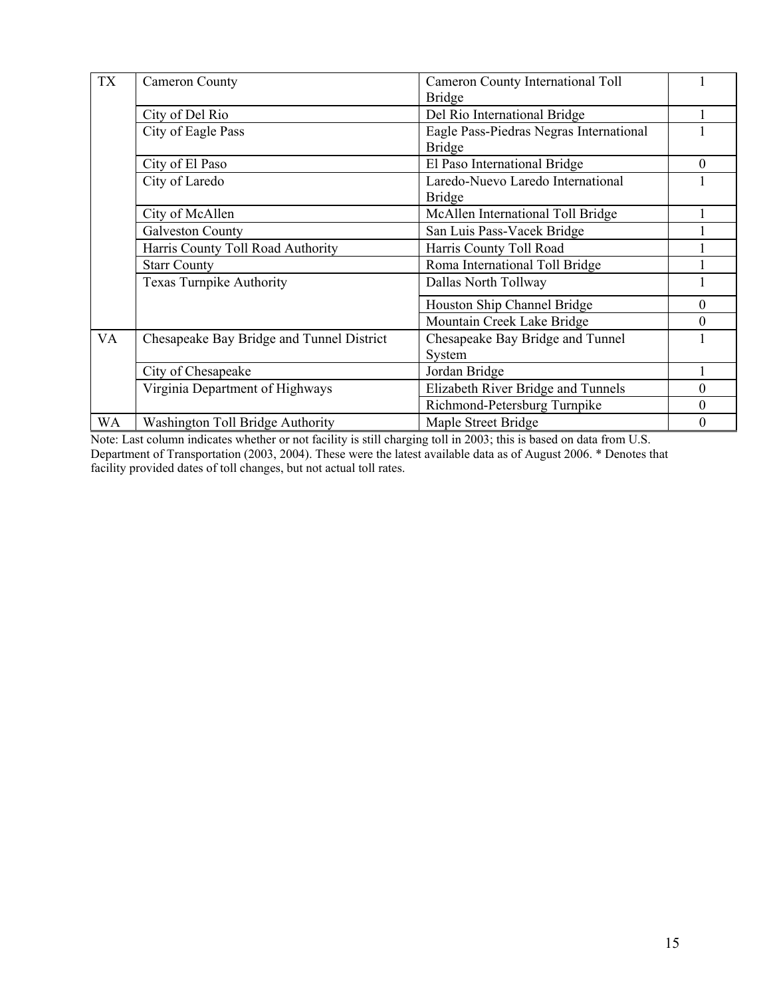| <b>TX</b> | <b>Cameron County</b>                     | <b>Cameron County International Toll</b><br><b>Bridge</b> |          |
|-----------|-------------------------------------------|-----------------------------------------------------------|----------|
|           | City of Del Rio                           | Del Rio International Bridge                              |          |
|           | City of Eagle Pass                        | Eagle Pass-Piedras Negras International<br><b>Bridge</b>  |          |
|           | City of El Paso                           | El Paso International Bridge                              | $\theta$ |
|           | City of Laredo                            | Laredo-Nuevo Laredo International<br><b>Bridge</b>        |          |
|           | City of McAllen                           | McAllen International Toll Bridge                         |          |
|           | <b>Galveston County</b>                   | San Luis Pass-Vacek Bridge                                |          |
|           | Harris County Toll Road Authority         | Harris County Toll Road                                   |          |
|           | <b>Starr County</b>                       | Roma International Toll Bridge                            |          |
|           | <b>Texas Turnpike Authority</b>           | Dallas North Tollway                                      |          |
|           |                                           | Houston Ship Channel Bridge                               | $\Omega$ |
|           |                                           | Mountain Creek Lake Bridge                                | $\Omega$ |
| VA        | Chesapeake Bay Bridge and Tunnel District | Chesapeake Bay Bridge and Tunnel<br>System                |          |
|           | City of Chesapeake                        | Jordan Bridge                                             |          |
|           | Virginia Department of Highways           | Elizabeth River Bridge and Tunnels                        | $\Omega$ |
|           |                                           | Richmond-Petersburg Turnpike                              | $\theta$ |
| WA        | Washington Toll Bridge Authority          | Maple Street Bridge                                       | $\theta$ |

Note: Last column indicates whether or not facility is still charging toll in 2003; this is based on data from U.S. Department of Transportation (2003, 2004). These were the latest available data as of August 2006. \* Denotes that facility provided dates of toll changes, but not actual toll rates.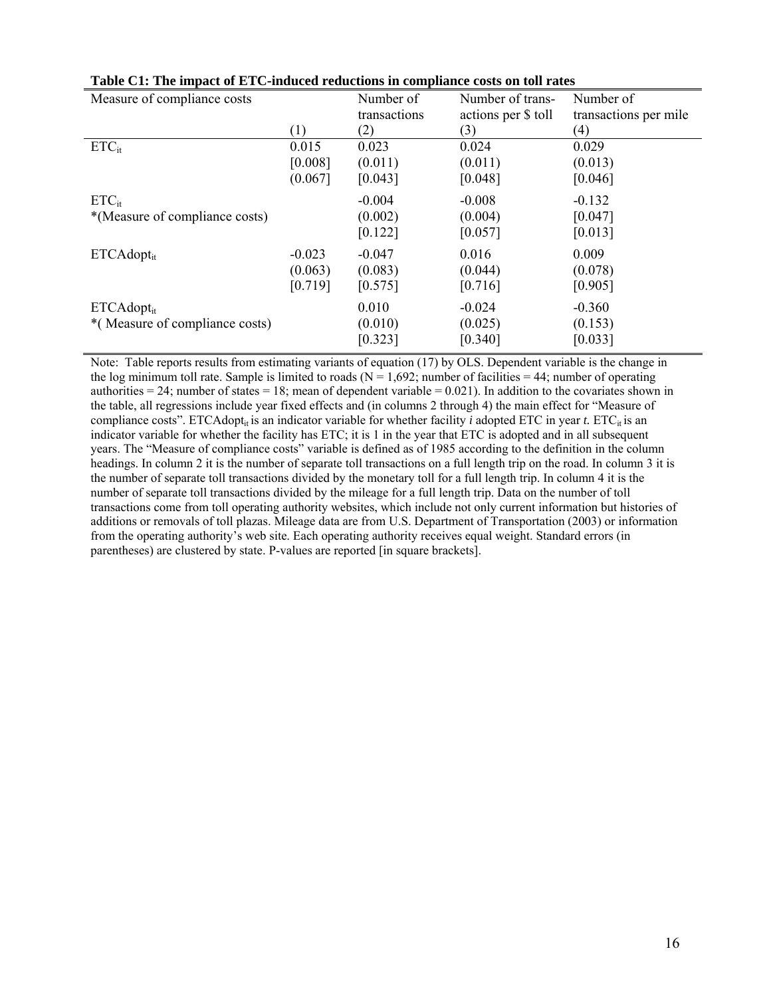| Measure of compliance costs    |          | Number of    | Number of trans-    | Number of             |
|--------------------------------|----------|--------------|---------------------|-----------------------|
|                                |          | transactions | actions per \$ toll | transactions per mile |
|                                | (1)      | (2)          | (3)                 | (4)                   |
| $ETC_{it}$                     | 0.015    | 0.023        | 0.024               | 0.029                 |
|                                | [0.008]  | (0.011)      | (0.011)             | (0.013)               |
|                                | (0.067]  | [0.043]      | [0.048]             | [0.046]               |
| $ETC_{it}$                     |          | $-0.004$     | $-0.008$            | $-0.132$              |
| *(Measure of compliance costs) |          | (0.002)      | (0.004)             | [0.047]               |
|                                |          | [0.122]      | [0.057]             | [0.013]               |
| $ETCAdopt_{it}$                | $-0.023$ | $-0.047$     | 0.016               | 0.009                 |
|                                | (0.063)  | (0.083)      | (0.044)             | (0.078)               |
|                                | [0.719]  | [0.575]      | [0.716]             | [0.905]               |
| $ETCAdopt_{it}$                |          | 0.010        | $-0.024$            | $-0.360$              |
| *(Measure of compliance costs) |          | (0.010)      | (0.025)             | (0.153)               |
|                                |          | [0.323]      | [0.340]             | [0.033]               |

|  | Table C1: The impact of ETC-induced reductions in compliance costs on toll rates |  |  |
|--|----------------------------------------------------------------------------------|--|--|
|--|----------------------------------------------------------------------------------|--|--|

Note: Table reports results from estimating variants of equation (17) by OLS. Dependent variable is the change in the log minimum toll rate. Sample is limited to roads ( $N = 1,692$ ; number of facilities = 44; number of operating authorities  $= 24$ ; number of states  $= 18$ ; mean of dependent variable  $= 0.021$ ). In addition to the covariates shown in the table, all regressions include year fixed effects and (in columns 2 through 4) the main effect for "Measure of compliance costs". ETCAdopt<sub>it</sub> is an indicator variable for whether facility *i* adopted ETC in year *t*. ETC<sub>it</sub> is an indicator variable for whether the facility has ETC; it is 1 in the year that ETC is adopted and in all subsequent years. The "Measure of compliance costs" variable is defined as of 1985 according to the definition in the column headings. In column 2 it is the number of separate toll transactions on a full length trip on the road. In column 3 it is the number of separate toll transactions divided by the monetary toll for a full length trip. In column 4 it is the number of separate toll transactions divided by the mileage for a full length trip. Data on the number of toll transactions come from toll operating authority websites, which include not only current information but histories of additions or removals of toll plazas. Mileage data are from U.S. Department of Transportation (2003) or information from the operating authority's web site. Each operating authority receives equal weight. Standard errors (in parentheses) are clustered by state. P-values are reported [in square brackets].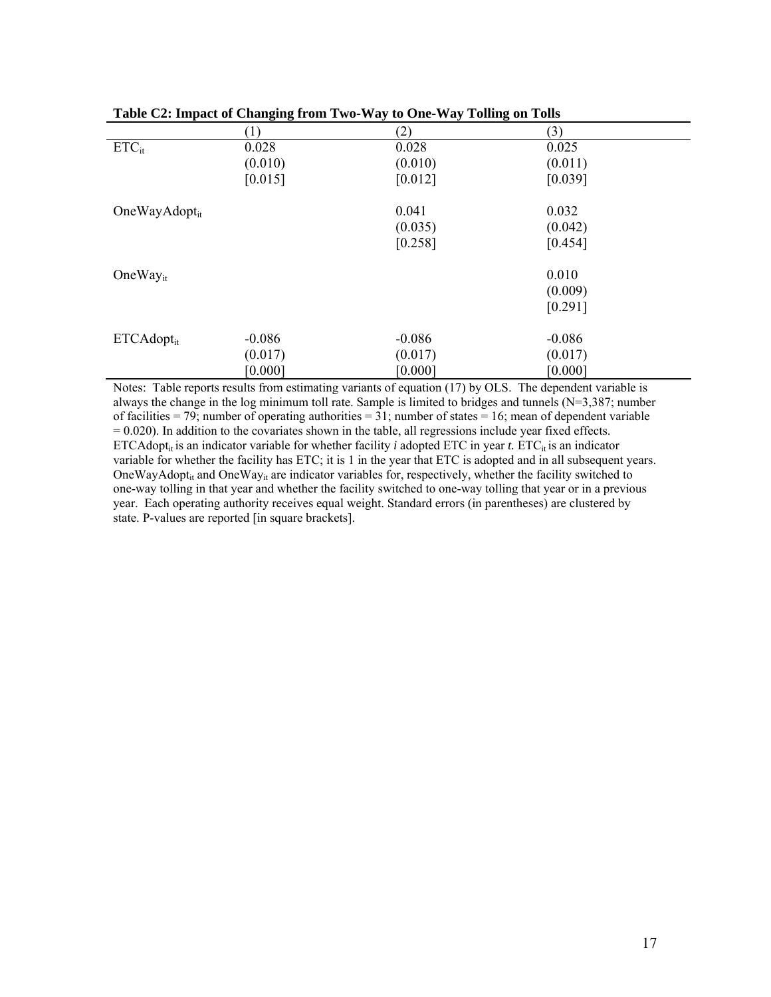| $    -$             |          |          |          |  |  |  |  |
|---------------------|----------|----------|----------|--|--|--|--|
|                     | (1)      | (2)      | (3)      |  |  |  |  |
| $ETC_{it}$          | 0.028    | 0.028    | 0.025    |  |  |  |  |
|                     | (0.010)  | (0.010)  | (0.011)  |  |  |  |  |
|                     | [0.015]  | [0.012]  | [0.039]  |  |  |  |  |
| OneWay $Adopt_{it}$ |          | 0.041    | 0.032    |  |  |  |  |
|                     |          | (0.035)  | (0.042)  |  |  |  |  |
|                     |          | [0.258]  | [0.454]  |  |  |  |  |
| One $Way_{it}$      |          |          | 0.010    |  |  |  |  |
|                     |          |          | (0.009)  |  |  |  |  |
|                     |          |          | [0.291]  |  |  |  |  |
| $ETCAdopt_{it}$     | $-0.086$ | $-0.086$ | $-0.086$ |  |  |  |  |
|                     | (0.017)  | (0.017)  | (0.017)  |  |  |  |  |
|                     | [0.000]  | [0.000]  | [0.000]  |  |  |  |  |

|  |  | Table C2: Impact of Changing from Two-Way to One-Way Tolling on Tolls |  |  |  |  |
|--|--|-----------------------------------------------------------------------|--|--|--|--|
|  |  |                                                                       |  |  |  |  |

Notes: Table reports results from estimating variants of equation (17) by OLS. The dependent variable is always the change in the log minimum toll rate. Sample is limited to bridges and tunnels (N=3,387; number of facilities = 79; number of operating authorities = 31; number of states = 16; mean of dependent variable  $= 0.020$ ). In addition to the covariates shown in the table, all regressions include year fixed effects. ETCAdopt<sub>it</sub> is an indicator variable for whether facility *i* adopted ETC in year *t*. ETC<sub>it</sub> is an indicator variable for whether the facility has ETC; it is 1 in the year that ETC is adopted and in all subsequent years. OneWayAdopt<sub>it</sub> and OneWay<sub>it</sub> are indicator variables for, respectively, whether the facility switched to one-way tolling in that year and whether the facility switched to one-way tolling that year or in a previous year. Each operating authority receives equal weight. Standard errors (in parentheses) are clustered by state. P-values are reported [in square brackets].